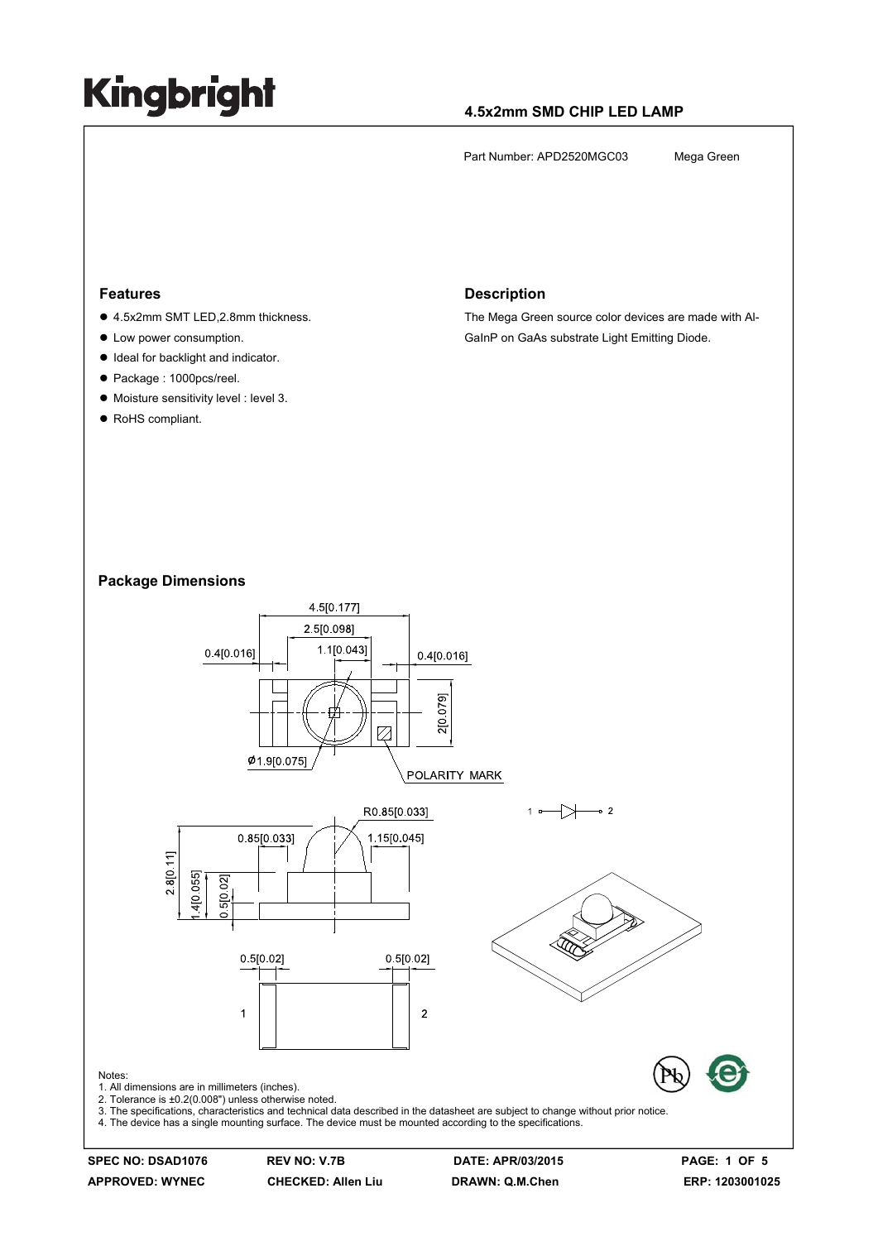### **4.5x2mm SMD CHIP LED LAMP**

Part Number: APD2520MGC03 Mega Green

#### **Features**

- 4.5x2mm SMT LED,2.8mm thickness.
- Low power consumption.
- $\bullet$  Ideal for backlight and indicator.
- Package : 1000pcs/reel.
- $\bullet$  Moisture sensitivity level : level 3.
- RoHS compliant.

#### **Description**

The Mega Green source color devices are made with Al-GaInP on GaAs substrate Light Emitting Diode.

#### **Package Dimensions**



**APPROVED: WYNEC CHECKED: Allen Liu DRAWN: Q.M.Chen ERP: 1203001025**

**SPEC NO: DSAD1076 REV NO: V.7B DATE: APR/03/2015 PAGE: 1 OF 5**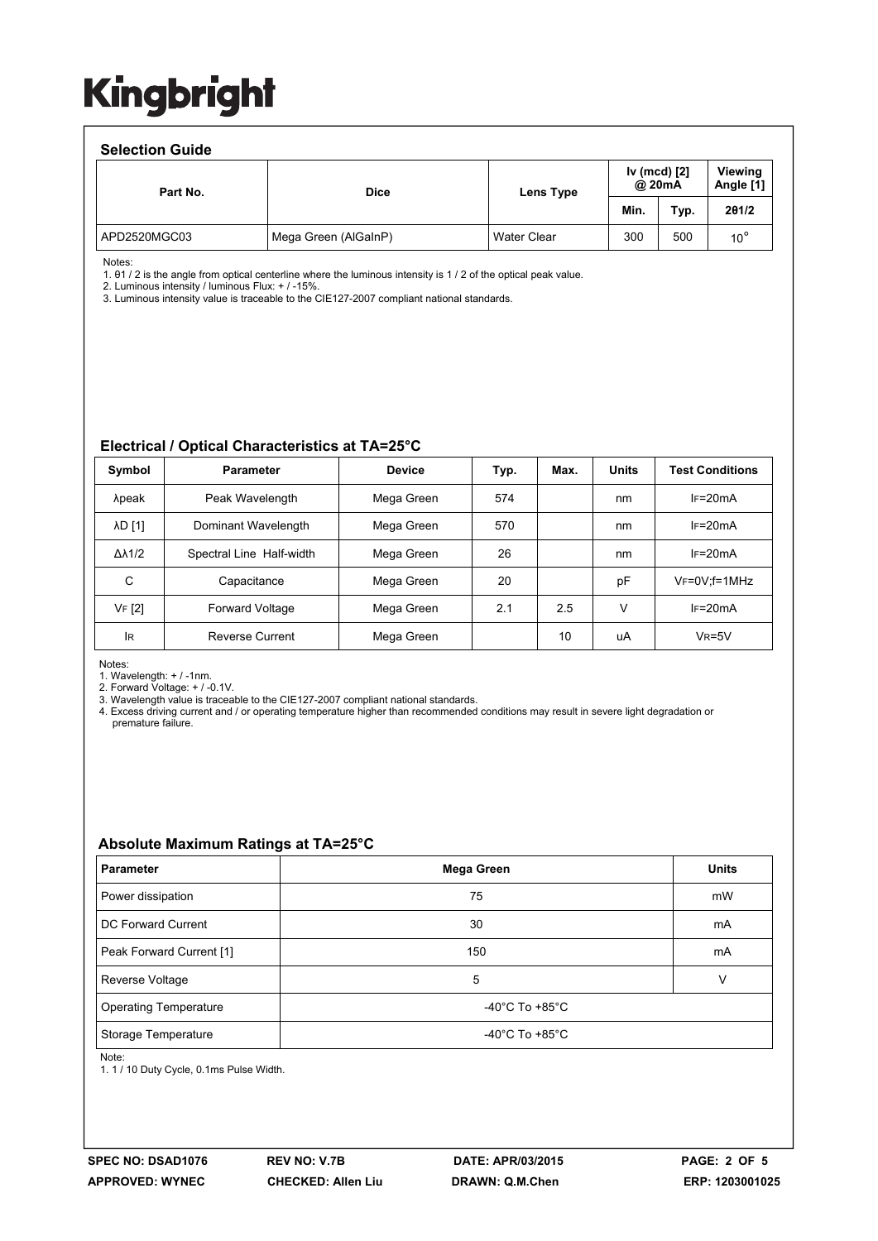#### **Selection Guide**

| <b>OBIBUTULI QUIUB</b> |                      |                    |                        |      |                             |  |  |  |  |
|------------------------|----------------------|--------------------|------------------------|------|-----------------------------|--|--|--|--|
| Part No.               | <b>Dice</b>          | Lens Type          | Iv (mcd) [2]<br>@ 20mA |      | <b>Viewing</b><br>Angle [1] |  |  |  |  |
|                        |                      |                    | Min.                   | Typ. | 201/2                       |  |  |  |  |
| APD2520MGC03           | Mega Green (AlGaInP) | <b>Water Clear</b> | 300                    | 500  | $10^{\circ}$                |  |  |  |  |

Notes:

1. θ1 / 2 is the angle from optical centerline where the luminous intensity is 1 / 2 of the optical peak value.

2. Luminous intensity / luminous Flux: + / -15%.

3. Luminous intensity value is traceable to the CIE127-2007 compliant national standards.

#### **Electrical / Optical Characteristics at TA=25°C**

| Symbol              | <b>Parameter</b>         | <b>Device</b> | Typ. | Max. | <b>Units</b> | <b>Test Conditions</b> |
|---------------------|--------------------------|---------------|------|------|--------------|------------------------|
| λpeak               | Peak Wavelength          | Mega Green    | 574  |      | nm           | $IF=20mA$              |
| <b>AD [1]</b>       | Dominant Wavelength      | Mega Green    | 570  |      | nm           | $IF=20mA$              |
| $\Delta\lambda$ 1/2 | Spectral Line Half-width | Mega Green    | 26   |      | nm           | $IF=20mA$              |
| C                   | Capacitance              | Mega Green    | 20   |      | рF           | $V_F = 0V$ ; f=1MHz    |
| VF [2]              | <b>Forward Voltage</b>   | Mega Green    | 2.1  | 2.5  | v            | $IF=20mA$              |
| <b>IR</b>           | Reverse Current          | Mega Green    |      | 10   | uA           | $VR=5V$                |

Notes:

1. Wavelength: + / -1nm.

2. Forward Voltage: + / -0.1V.

3. Wavelength value is traceable to the CIE127-2007 compliant national standards.

4. Excess driving current and / or operating temperature higher than recommended conditions may result in severe light degradation or premature failure.

#### **Absolute Maximum Ratings at TA=25°C**

| <b>Parameter</b>             | Mega Green                           | <b>Units</b> |  |
|------------------------------|--------------------------------------|--------------|--|
| Power dissipation            | 75                                   | mW           |  |
| DC Forward Current           | 30                                   | mA           |  |
| Peak Forward Current [1]     | 150                                  | mA           |  |
| Reverse Voltage              | 5                                    | V            |  |
| <b>Operating Temperature</b> | -40°C To +85°C                       |              |  |
| Storage Temperature          | -40 $^{\circ}$ C To +85 $^{\circ}$ C |              |  |

Note:

1. 1 / 10 Duty Cycle, 0.1ms Pulse Width.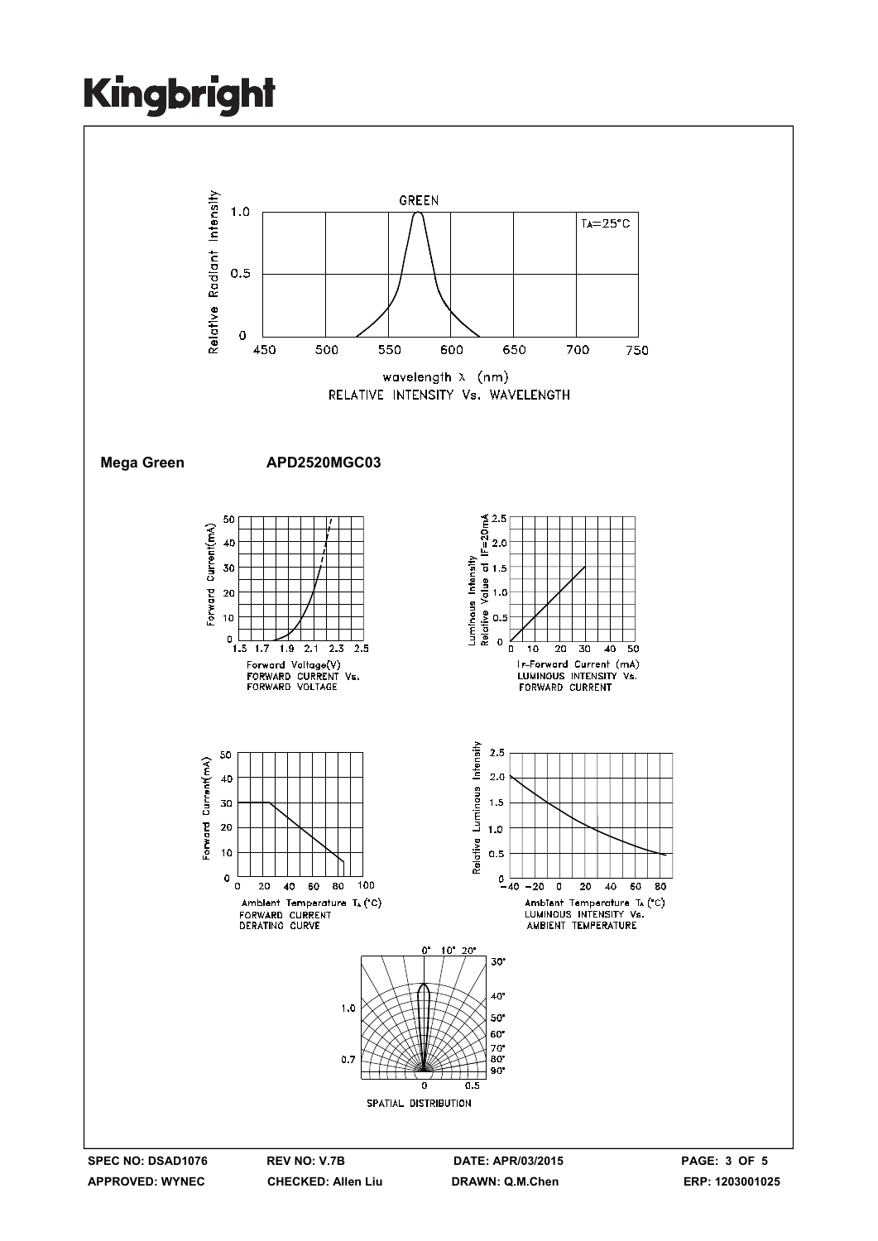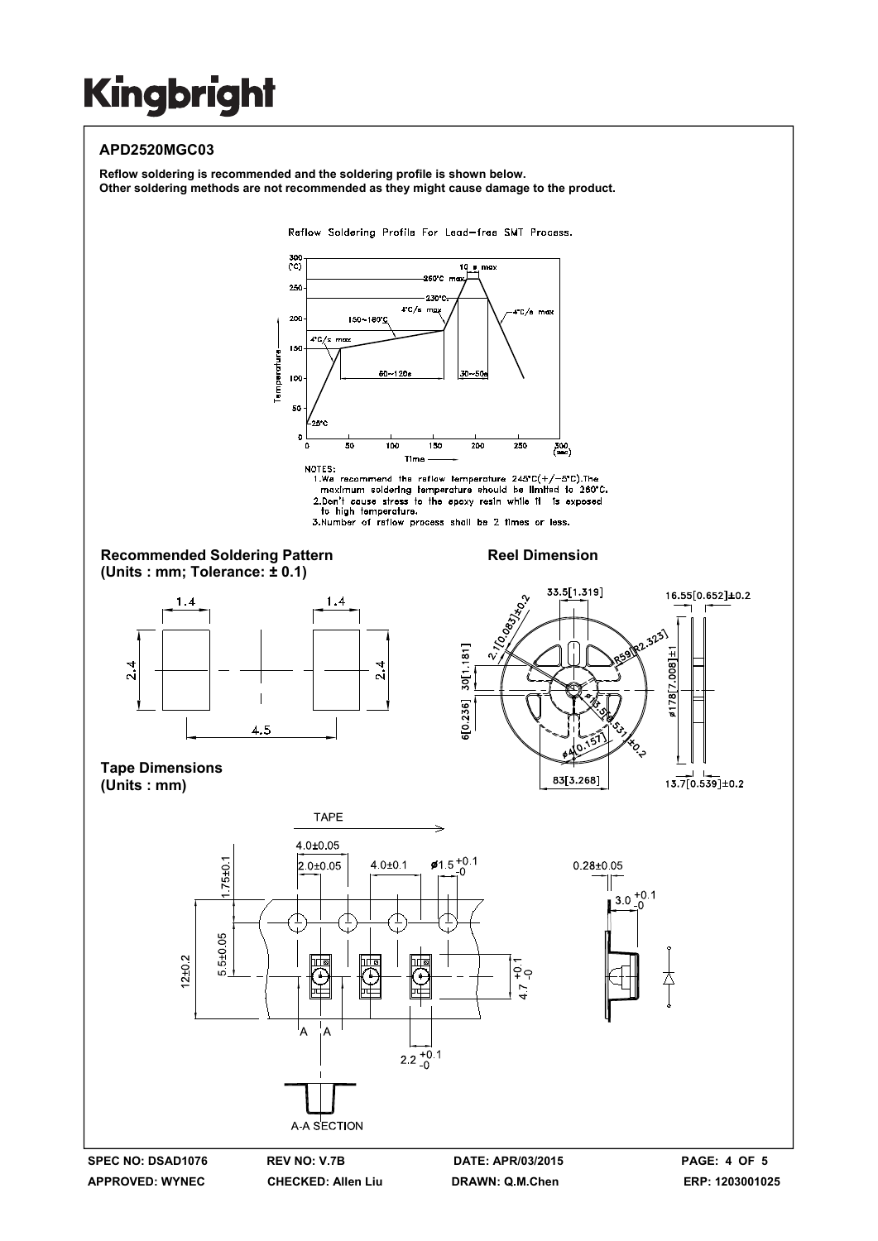### **APD2520MGC03**

**Reflow soldering is recommended and the soldering profile is shown below. Other soldering methods are not recommended as they might cause damage to the product.**